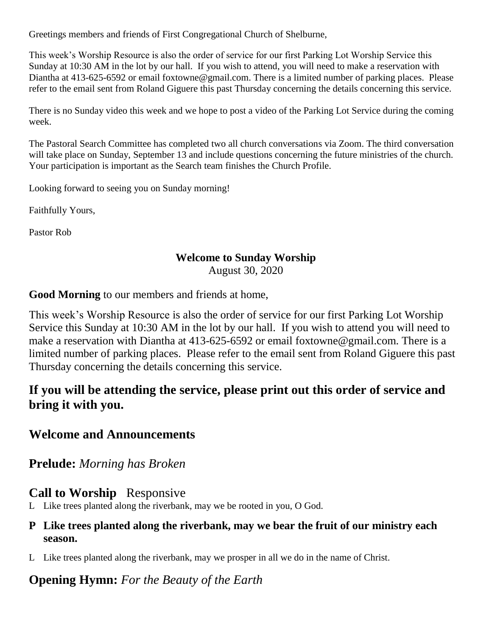Greetings members and friends of First Congregational Church of Shelburne,

This week's Worship Resource is also the order of service for our first Parking Lot Worship Service this Sunday at 10:30 AM in the lot by our hall. If you wish to attend, you will need to make a reservation with Diantha at 413-625-6592 or email foxtowne@gmail.com. There is a limited number of parking places. Please refer to the email sent from Roland Giguere this past Thursday concerning the details concerning this service.

There is no Sunday video this week and we hope to post a video of the Parking Lot Service during the coming week.

The Pastoral Search Committee has completed two all church conversations via Zoom. The third conversation will take place on Sunday, September 13 and include questions concerning the future ministries of the church. Your participation is important as the Search team finishes the Church Profile.

Looking forward to seeing you on Sunday morning!

Faithfully Yours,

Pastor Rob

### **Welcome to Sunday Worship**

August 30, 2020

**Good Morning** to our members and friends at home,

This week's Worship Resource is also the order of service for our first Parking Lot Worship Service this Sunday at 10:30 AM in the lot by our hall. If you wish to attend you will need to make a reservation with Diantha at 413-625-6592 or email foxtowne@gmail.com. There is a limited number of parking places. Please refer to the email sent from Roland Giguere this past Thursday concerning the details concerning this service.

# **If you will be attending the service, please print out this order of service and bring it with you.**

### **Welcome and Announcements**

**Prelude:** *Morning has Broken*

### **Call to Worship** Responsive

L Like trees planted along the riverbank, may we be rooted in you, O God.

#### **P Like trees planted along the riverbank, may we bear the fruit of our ministry each season.**

L Like trees planted along the riverbank, may we prosper in all we do in the name of Christ.

### **Opening Hymn:** *For the Beauty of the Earth*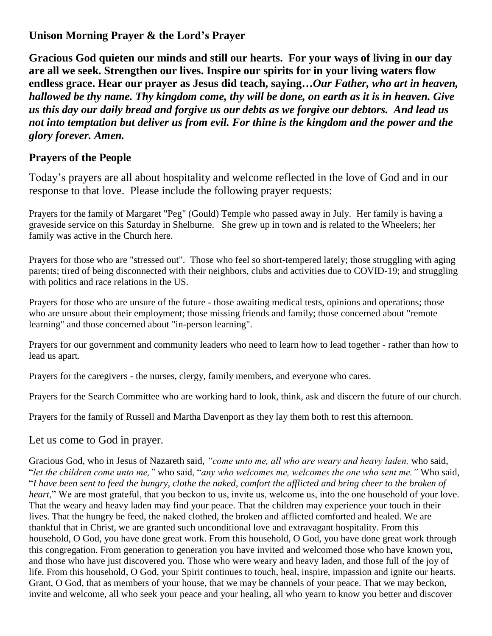#### **Unison Morning Prayer & the Lord's Prayer**

**Gracious God quieten our minds and still our hearts. For your ways of living in our day are all we seek. Strengthen our lives. Inspire our spirits for in your living waters flow endless grace. Hear our prayer as Jesus did teach, saying…***Our Father, who art in heaven, hallowed be thy name. Thy kingdom come, thy will be done, on earth as it is in heaven. Give us this day our daily bread and forgive us our debts as we forgive our debtors. And lead us not into temptation but deliver us from evil. For thine is the kingdom and the power and the glory forever. Amen.*

#### **Prayers of the People**

Today's prayers are all about hospitality and welcome reflected in the love of God and in our response to that love. Please include the following prayer requests:

Prayers for the family of Margaret "Peg" (Gould) Temple who passed away in July. Her family is having a graveside service on this Saturday in Shelburne. She grew up in town and is related to the Wheelers; her family was active in the Church here.

Prayers for those who are "stressed out". Those who feel so short-tempered lately; those struggling with aging parents; tired of being disconnected with their neighbors, clubs and activities due to COVID-19; and struggling with politics and race relations in the US.

Prayers for those who are unsure of the future - those awaiting medical tests, opinions and operations; those who are unsure about their employment; those missing friends and family; those concerned about "remote learning" and those concerned about "in-person learning".

Prayers for our government and community leaders who need to learn how to lead together - rather than how to lead us apart.

Prayers for the caregivers - the nurses, clergy, family members, and everyone who cares.

Prayers for the Search Committee who are working hard to look, think, ask and discern the future of our church.

Prayers for the family of Russell and Martha Davenport as they lay them both to rest this afternoon.

#### Let us come to God in prayer.

Gracious God, who in Jesus of Nazareth said, *"come unto me, all who are weary and heavy laden,* who said, "*let the children come unto me,"* who said, "*any who welcomes me, welcomes the one who sent me."* Who said, "*I have been sent to feed the hungry, clothe the naked, comfort the afflicted and bring cheer to the broken of heart*," We are most grateful, that you beckon to us, invite us, welcome us, into the one household of your love. That the weary and heavy laden may find your peace. That the children may experience your touch in their lives. That the hungry be feed, the naked clothed, the broken and afflicted comforted and healed. We are thankful that in Christ, we are granted such unconditional love and extravagant hospitality. From this household, O God, you have done great work. From this household, O God, you have done great work through this congregation. From generation to generation you have invited and welcomed those who have known you, and those who have just discovered you. Those who were weary and heavy laden, and those full of the joy of life. From this household, O God, your Spirit continues to touch, heal, inspire, impassion and ignite our hearts. Grant, O God, that as members of your house, that we may be channels of your peace. That we may beckon, invite and welcome, all who seek your peace and your healing, all who yearn to know you better and discover